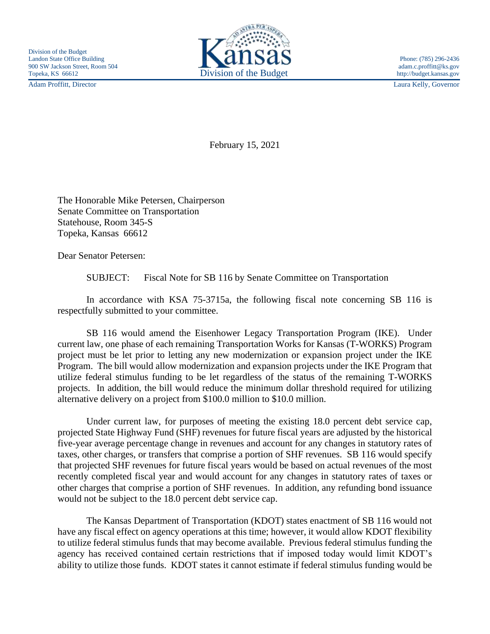Adam Proffitt, Director Laura Kelly, Governor



February 15, 2021

The Honorable Mike Petersen, Chairperson Senate Committee on Transportation Statehouse, Room 345-S Topeka, Kansas 66612

Dear Senator Petersen:

SUBJECT: Fiscal Note for SB 116 by Senate Committee on Transportation

In accordance with KSA 75-3715a, the following fiscal note concerning SB 116 is respectfully submitted to your committee.

SB 116 would amend the Eisenhower Legacy Transportation Program (IKE). Under current law, one phase of each remaining Transportation Works for Kansas (T-WORKS) Program project must be let prior to letting any new modernization or expansion project under the IKE Program. The bill would allow modernization and expansion projects under the IKE Program that utilize federal stimulus funding to be let regardless of the status of the remaining T-WORKS projects. In addition, the bill would reduce the minimum dollar threshold required for utilizing alternative delivery on a project from \$100.0 million to \$10.0 million.

Under current law, for purposes of meeting the existing 18.0 percent debt service cap, projected State Highway Fund (SHF) revenues for future fiscal years are adjusted by the historical five-year average percentage change in revenues and account for any changes in statutory rates of taxes, other charges, or transfers that comprise a portion of SHF revenues. SB 116 would specify that projected SHF revenues for future fiscal years would be based on actual revenues of the most recently completed fiscal year and would account for any changes in statutory rates of taxes or other charges that comprise a portion of SHF revenues. In addition, any refunding bond issuance would not be subject to the 18.0 percent debt service cap.

The Kansas Department of Transportation (KDOT) states enactment of SB 116 would not have any fiscal effect on agency operations at this time; however, it would allow KDOT flexibility to utilize federal stimulus funds that may become available. Previous federal stimulus funding the agency has received contained certain restrictions that if imposed today would limit KDOT's ability to utilize those funds. KDOT states it cannot estimate if federal stimulus funding would be